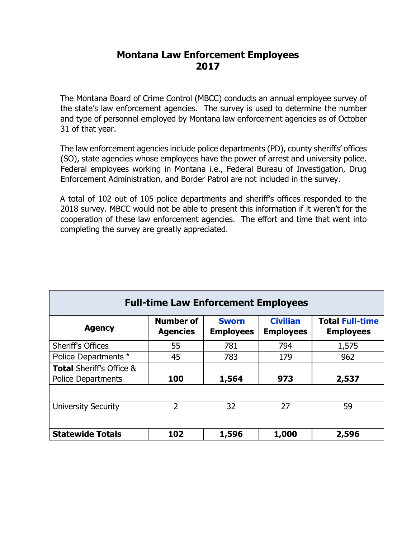# **Montana Law Enforcement Employees 2017**

 The Montana Board of Crime Control (MBCC) conducts an annual employee survey of the state's law enforcement agencies. The survey is used to determine the number and type of personnel employed by Montana law enforcement agencies as of October 31 of that year.

 (SO), state agencies whose employees have the power of arrest and university police. The law enforcement agencies include police departments (PD), county sheriffs' offices Federal employees working in Montana i.e., Federal Bureau of Investigation, Drug Enforcement Administration, and Border Patrol are not included in the survey.

 cooperation of these law enforcement agencies. The effort and time that went into A total of 102 out of 105 police departments and sheriff's offices responded to the 2018 survey. MBCC would not be able to present this information if it weren't for the completing the survey are greatly appreciated.

| <b>Full-time Law Enforcement Employees</b>                       |                                     |                                  |                                     |                                            |  |  |  |
|------------------------------------------------------------------|-------------------------------------|----------------------------------|-------------------------------------|--------------------------------------------|--|--|--|
| <b>Agency</b>                                                    | <b>Number of</b><br><b>Agencies</b> | <b>Sworn</b><br><b>Employees</b> | <b>Civilian</b><br><b>Employees</b> | <b>Total Full-time</b><br><b>Employees</b> |  |  |  |
| <b>Sheriff's Offices</b>                                         | 55                                  | 781                              | 794                                 | 1,575                                      |  |  |  |
| Police Departments *                                             | 45                                  | 783                              | 179                                 | 962                                        |  |  |  |
| <b>Total Sheriff's Office &amp;</b><br><b>Police Departments</b> | 100                                 | 1,564                            | 973                                 | 2,537                                      |  |  |  |
|                                                                  |                                     |                                  |                                     |                                            |  |  |  |
| <b>University Security</b>                                       | $\overline{2}$                      | 32                               | 27                                  | 59                                         |  |  |  |
|                                                                  |                                     |                                  |                                     |                                            |  |  |  |
| <b>Statewide Totals</b>                                          | 102                                 | 1,596                            | 1,000                               | 2,596                                      |  |  |  |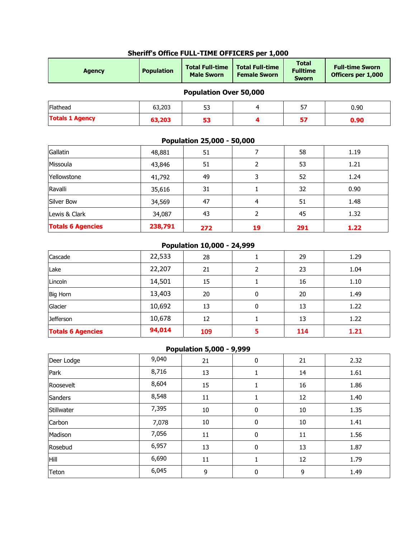| <b>Agency</b>                 | <b>Population</b> | <b>Total Full-time</b><br><b>Male Sworn</b> | <b>Total Full-time</b><br><b>Female Sworn</b> | <b>Total</b><br><b>Fulltime</b><br><b>Sworn</b> | <b>Full-time Sworn</b><br>Officers per 1,000 |  |  |  |  |
|-------------------------------|-------------------|---------------------------------------------|-----------------------------------------------|-------------------------------------------------|----------------------------------------------|--|--|--|--|
| <b>Population Over 50,000</b> |                   |                                             |                                               |                                                 |                                              |  |  |  |  |
| Flathead                      | 63,203            | 53                                          | 4                                             | 57                                              | 0.90                                         |  |  |  |  |
| <b>Totals 1 Agency</b>        | 63,203            | 53                                          | 4                                             | 57                                              | 0.90                                         |  |  |  |  |
| Gallatin                      | 48,881            | 51                                          | 7                                             | 58                                              | 1.19                                         |  |  |  |  |
|                               |                   | Population 25,000 - 50,000                  |                                               |                                                 |                                              |  |  |  |  |
| Missoula                      | 43,846            | 51                                          | 2                                             | 53                                              | 1.21                                         |  |  |  |  |
| Yellowstone                   | 41,792            | 49                                          | 3                                             | 52                                              | 1.24                                         |  |  |  |  |
| Ravalli                       | 35,616            | 31                                          | 1                                             | 32                                              | 0.90                                         |  |  |  |  |
| Silver Bow                    | 34,569            | 47                                          | 4                                             | 51                                              | 1.48                                         |  |  |  |  |
| Lewis & Clark                 | 34,087            | 43                                          | 2                                             | 45                                              | 1.32                                         |  |  |  |  |

### **Sheriff's Office FULL-TIME OFFICERS per 1,000**

### **Population 10,000 - 24,999**

**Totals 6 Agencies 238,791 272 19 291 1.22**

| <b>Totals 6 Agencies</b> | 94,014 | 109 |   | 114 | 1.21 |
|--------------------------|--------|-----|---|-----|------|
| <b>Jefferson</b>         | 10,678 | 12  |   | 13  | 1.22 |
| Glacier                  | 10,692 | 13  | 0 | 13  | 1.22 |
| <b>Big Horn</b>          | 13,403 | 20  | 0 | 20  | 1.49 |
| Lincoln                  | 14,501 | 15  |   | 16  | 1.10 |
| Lake                     | 22,207 | 21  |   | 23  | 1.04 |
| Cascade                  | 22,533 | 28  |   | 29  | 1.29 |

#### **Population 5,000 - 9,999**

| Deer Lodge | 9,040 | 21     | 0           | 21     | 2.32 |
|------------|-------|--------|-------------|--------|------|
| Park       | 8,716 | 13     |             | 14     | 1.61 |
| Roosevelt  | 8,604 | 15     |             | 16     | 1.86 |
| Sanders    | 8,548 | 11     |             | 12     | 1.40 |
| Stillwater | 7,395 | $10\,$ | 0           | $10\,$ | 1.35 |
| Carbon     | 7,078 | $10\,$ | $\mathbf 0$ | $10\,$ | 1.41 |
| Madison    | 7,056 | 11     | 0           | 11     | 1.56 |
| Rosebud    | 6,957 | 13     | 0           | 13     | 1.87 |
| Hill       | 6,690 | 11     |             | 12     | 1.79 |
| Teton      | 6,045 | 9      | 0           | 9      | 1.49 |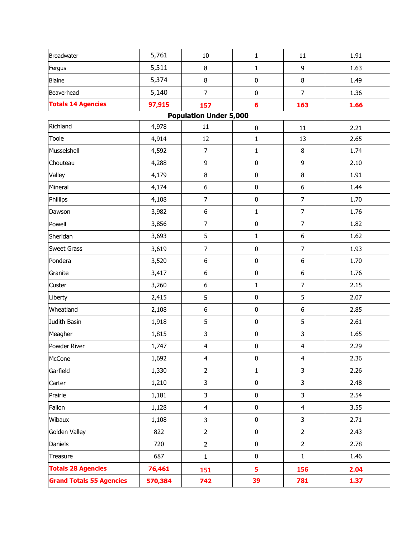| Broadwater                      | 5,761   | $10\,$                        | $\mathbf{1}$   | 11               | 1.91 |
|---------------------------------|---------|-------------------------------|----------------|------------------|------|
| Fergus                          | 5,511   | $\, 8$                        | $\mathbf{1}$   | 9                | 1.63 |
| <b>Blaine</b>                   | 5,374   | $\,8\,$                       | $\pmb{0}$      | 8                | 1.49 |
| Beaverhead                      | 5,140   | $\overline{7}$                | $\pmb{0}$      | $\overline{7}$   | 1.36 |
| <b>Totals 14 Agencies</b>       | 97,915  | 157                           | $6\phantom{a}$ | 163              | 1.66 |
|                                 |         | <b>Population Under 5,000</b> |                |                  |      |
| Richland                        | 4,978   | 11                            | $\pmb{0}$      | 11               | 2.21 |
| Toole                           | 4,914   | 12                            | $\mathbf 1$    | 13               | 2.65 |
| Musselshell                     | 4,592   | $\overline{7}$                | $\mathbf{1}$   | 8                | 1.74 |
| Chouteau                        | 4,288   | 9                             | 0              | 9                | 2.10 |
| Valley                          | 4,179   | $\bf 8$                       | $\bf{0}$       | 8                | 1.91 |
| Mineral                         | 4,174   | $\boldsymbol{6}$              | 0              | 6                | 1.44 |
| Phillips                        | 4,108   | $\overline{7}$                | $\pmb{0}$      | $\overline{7}$   | 1.70 |
| Dawson                          | 3,982   | $\boldsymbol{6}$              | $\mathbf{1}$   | $\overline{7}$   | 1.76 |
| Powell                          | 3,856   | $\boldsymbol{7}$              | $\pmb{0}$      | $\overline{7}$   | 1.82 |
| Sheridan                        | 3,693   | 5                             | $\mathbf{1}$   | $\boldsymbol{6}$ | 1.62 |
| <b>Sweet Grass</b>              | 3,619   | $\overline{7}$                | $\pmb{0}$      | $\overline{7}$   | 1.93 |
| Pondera                         | 3,520   | $\boldsymbol{6}$              | 0              | 6                | 1.70 |
| Granite                         | 3,417   | $\boldsymbol{6}$              | $\pmb{0}$      | 6                | 1.76 |
| Custer                          | 3,260   | $\boldsymbol{6}$              | $\mathbf{1}$   | $\overline{7}$   | 2.15 |
| Liberty                         | 2,415   | 5                             | $\pmb{0}$      | 5                | 2.07 |
| Wheatland                       | 2,108   | $\boldsymbol{6}$              | $\bf{0}$       | 6                | 2.85 |
| Judith Basin                    | 1,918   | 5                             | 0              | 5                | 2.61 |
| Meagher                         | 1,815   | $\mathsf 3$                   | 0              | 3                | 1.65 |
| Powder River                    | 1,747   | $\overline{4}$                | $\pmb{0}$      | $\overline{4}$   | 2.29 |
| McCone                          | 1,692   | $\overline{4}$                | $\bf{0}$       | 4                | 2.36 |
| Garfield                        | 1,330   | $\overline{2}$                | $\mathbf{1}$   | 3                | 2.26 |
| Carter                          | 1,210   | $\mathsf 3$                   | $\pmb{0}$      | $\mathbf{3}$     | 2.48 |
| Prairie                         | 1,181   | 3                             | $\bf{0}$       | 3                | 2.54 |
| Fallon                          | 1,128   | $\overline{\mathbf{4}}$       | $\bf{0}$       | $\overline{4}$   | 3.55 |
| Wibaux                          | 1,108   | 3                             | $\bf{0}$       | 3                | 2.71 |
| Golden Valley                   | 822     | $\overline{2}$                | $\bf{0}$       | $\overline{2}$   | 2.43 |
| Daniels                         | 720     | $\overline{2}$                | 0              | $\overline{2}$   | 2.78 |
| Treasure                        | 687     | 1                             | $\bf{0}$       | $\mathbf{1}$     | 1.46 |
| <b>Totals 28 Agencies</b>       | 76,461  | 151                           | 5              | 156              | 2.04 |
| <b>Grand Totals 55 Agencies</b> | 570,384 | 742                           | 39             | 781              | 1.37 |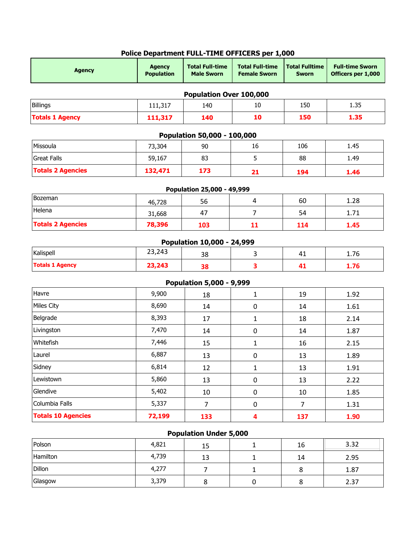| <b>Agency</b>             | <b>Agency</b><br><b>Population</b> | <b>Total Full-time</b><br><b>Male Sworn</b> | <b>Total Full-time</b><br><b>Female Sworn</b> | <b>Total Fulltime</b><br><b>Sworn</b> | <b>Full-time Sworn</b><br>Officers per 1,000 |
|---------------------------|------------------------------------|---------------------------------------------|-----------------------------------------------|---------------------------------------|----------------------------------------------|
|                           |                                    | Population Over 100,000                     |                                               |                                       |                                              |
| Billings                  | 111,317                            | 140                                         | 10                                            | 150                                   | 1.35                                         |
| <b>Totals 1 Agency</b>    | 111,317                            | 140                                         | 10                                            | 150                                   | 1.35                                         |
|                           |                                    | Population 50,000 - 100,000                 |                                               |                                       |                                              |
| Missoula                  | 73,304                             | 90                                          | 16                                            | 106                                   | 1.45                                         |
| <b>Great Falls</b>        | 59,167                             | 83                                          | 5                                             | 88                                    | 1.49                                         |
| <b>Totals 2 Agencies</b>  | 132,471                            | 173                                         | 21                                            | 194                                   | 1.46                                         |
|                           |                                    | Population 25,000 - 49,999                  |                                               |                                       |                                              |
| <b>Bozeman</b>            | 46,728                             | 56                                          | 4                                             | 60                                    | 1.28                                         |
| Helena                    | 31,668                             | 47                                          | $\overline{7}$                                | 54                                    | 1.71                                         |
| <b>Totals 2 Agencies</b>  | 78,396                             | 103                                         | 11                                            | 114                                   | 1.45                                         |
|                           |                                    | Population 10,000 - 24,999                  |                                               |                                       |                                              |
| Kalispell                 | 23,243                             | 38                                          | 3                                             | 41                                    | 1.76                                         |
| <b>Totals 1 Agency</b>    | 23,243                             | 38                                          | 3                                             | 41                                    | 1.76                                         |
|                           |                                    | <b>Population 5,000 - 9,999</b>             |                                               |                                       |                                              |
| Havre                     | 9,900                              | 18                                          | $\mathbf{1}$                                  | 19                                    | 1.92                                         |
| Miles City                | 8,690                              | 14                                          | $\mathbf 0$                                   | 14                                    | 1.61                                         |
| Belgrade                  | 8,393                              | 17                                          | 1                                             | 18                                    | 2.14                                         |
| Livingston                | 7,470                              | 14                                          | $\mathbf 0$                                   | 14                                    | 1.87                                         |
| Whitefish                 | 7,446                              | 15                                          | 1                                             | 16                                    | 2.15                                         |
| Laurel                    | 6,887                              | 13                                          | $\pmb{0}$                                     | 13                                    | 1.89                                         |
| Sidney                    | 6,814                              | 12                                          | $\mathbf 1$                                   | 13                                    | 1.91                                         |
| Lewistown                 | 5,860                              | 13                                          | $\pmb{0}$                                     | 13                                    | 2.22                                         |
| Glendive                  | 5,402                              | 10                                          | 0                                             | 10                                    | 1.85                                         |
| Columbia Falls            | 5,337                              | $\overline{7}$                              | $\mathbf 0$                                   | $\overline{7}$                        | 1.31                                         |
| <b>Totals 10 Agencies</b> | 72,199                             | 133                                         | 4                                             | 137                                   | 1.90                                         |
|                           |                                    | <b>Population Under 5,000</b>               |                                               |                                       |                                              |
| Polson                    | 4,821                              | 15                                          | 1                                             | 16                                    | 3.32                                         |

## **Police Department FULL-TIME OFFICERS per 1,000**

| Polson   | 4,821 | 15 | 16 | 3.32 |
|----------|-------|----|----|------|
| Hamilton | 4,739 | 13 | 14 | 2.95 |
| Dillon   | 4,277 |    |    | 1.87 |
| Glasgow  | 3,379 |    |    | 2.37 |